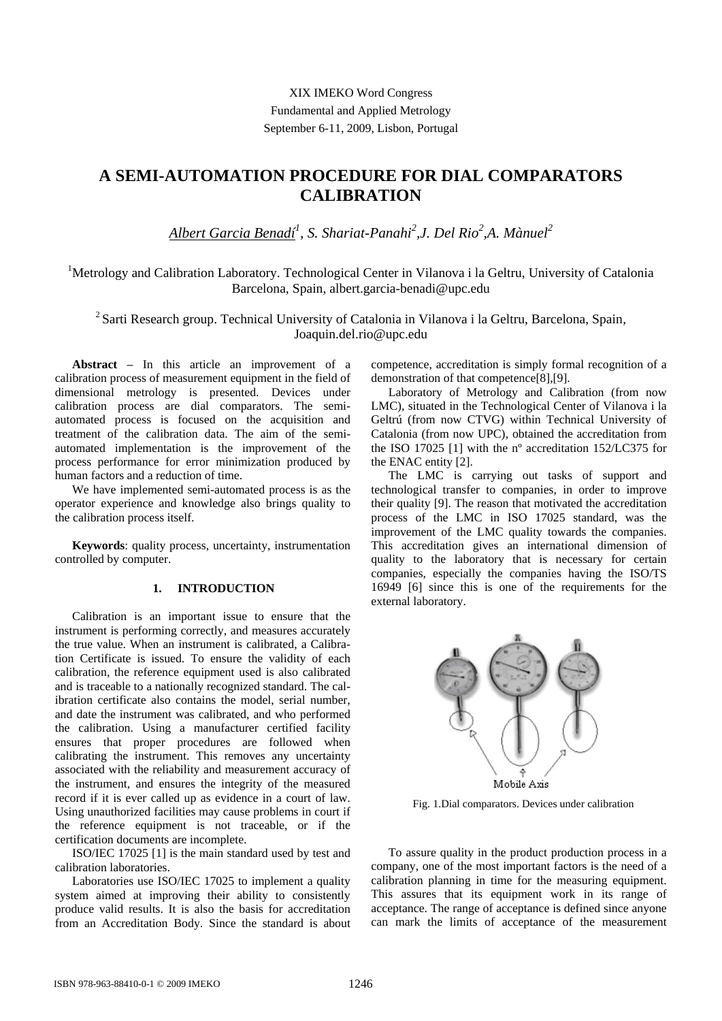XIX IMEKO Word Congress Fundamental and Applied Metrology September 6-11, 2009, Lisbon, Portugal

# **A SEMI-AUTOMATION PROCEDURE FOR DIAL COMPARATORS CALIBRATION**

*Albert Garcia Benadí<sup>1</sup> , S. Shariat-Panahi<sup>2</sup> ,J. Del Rio<sup>2</sup> ,A. Mànuel<sup>2</sup>*

<sup>1</sup>Metrology and Calibration Laboratory. Technological Center in Vilanova i la Geltru, University of Catalonia Barcelona, Spain, albert.garcia-benadi@upc.edu

<sup>2</sup> Sarti Research group. Technical University of Catalonia in Vilanova i la Geltru, Barcelona, Spain, Joaquin.del.rio@upc.edu

**Abstract –** In this article an improvement of a calibration process of measurement equipment in the field of dimensional metrology is presented. Devices under calibration process are dial comparators. The semiautomated process is focused on the acquisition and treatment of the calibration data. The aim of the semiautomated implementation is the improvement of the process performance for error minimization produced by human factors and a reduction of time.

We have implemented semi-automated process is as the operator experience and knowledge also brings quality to the calibration process itself.

**Keywords**: quality process, uncertainty, instrumentation controlled by computer.

## **1. INTRODUCTION**

Calibration is an important issue to ensure that the instrument is performing correctly, and measures accurately the true value. When an instrument is calibrated, a Calibration Certificate is issued. To ensure the validity of each calibration, the reference equipment used is also calibrated and is traceable to a nationally recognized standard. The calibration certificate also contains the model, serial number, and date the instrument was calibrated, and who performed the calibration. Using a manufacturer certified facility ensures that proper procedures are followed when calibrating the instrument. This removes any uncertainty associated with the reliability and measurement accuracy of the instrument, and ensures the integrity of the measured record if it is ever called up as evidence in a court of law. Using unauthorized facilities may cause problems in court if the reference equipment is not traceable, or if the certification documents are incomplete.

ISO/IEC 17025 [1] is the main standard used by test and calibration laboratories.

Laboratories use ISO/IEC 17025 to implement a quality system aimed at improving their ability to consistently produce valid results. It is also the basis for accreditation from an Accreditation Body. Since the standard is about

competence, accreditation is simply formal recognition of a demonstration of that competence[8],[9].

Laboratory of Metrology and Calibration (from now LMC), situated in the Technological Center of Vilanova i la Geltrú (from now CTVG) within Technical University of Catalonia (from now UPC), obtained the accreditation from the ISO 17025 [1] with the nº accreditation 152/LC375 for the ENAC entity [2].

The LMC is carrying out tasks of support and technological transfer to companies, in order to improve their quality [9]. The reason that motivated the accreditation process of the LMC in ISO 17025 standard, was the improvement of the LMC quality towards the companies. This accreditation gives an international dimension of quality to the laboratory that is necessary for certain companies, especially the companies having the ISO/TS 16949 [6] since this is one of the requirements for the external laboratory.



Fig. 1.Dial comparators. Devices under calibration

To assure quality in the product production process in a company, one of the most important factors is the need of a calibration planning in time for the measuring equipment. This assures that its equipment work in its range of acceptance. The range of acceptance is defined since anyone can mark the limits of acceptance of the measurement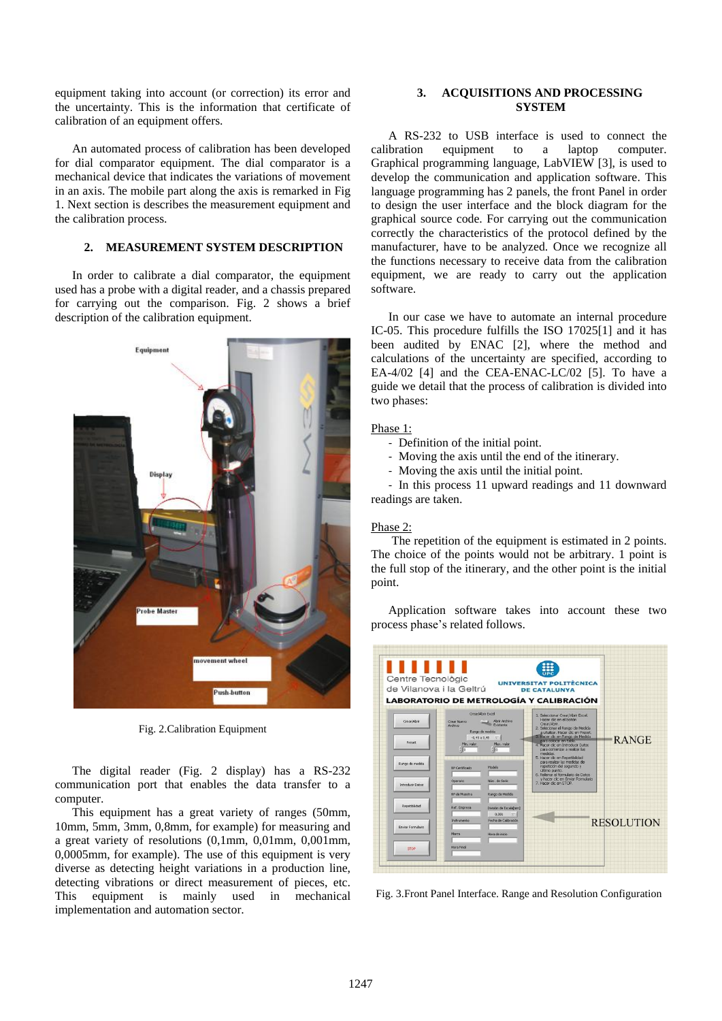equipment taking into account (or correction) its error and the uncertainty. This is the information that certificate of calibration of an equipment offers.

An automated process of calibration has been developed for dial comparator equipment. The dial comparator is a mechanical device that indicates the variations of movement in an axis. The mobile part along the axis is remarked in Fig 1. Next section is describes the measurement equipment and the calibration process.

# **2. MEASUREMENT SYSTEM DESCRIPTION**

In order to calibrate a dial comparator, the equipment used has a probe with a digital reader, and a chassis prepared for carrying out the comparison. Fig. 2 shows a brief description of the calibration equipment.



Fig. 2.Calibration Equipment

The digital reader (Fig. 2 display) has a RS-232 communication port that enables the data transfer to a computer.

This equipment has a great variety of ranges (50mm, 10mm, 5mm, 3mm, 0,8mm, for example) for measuring and a great variety of resolutions (0,1mm, 0,01mm, 0,001mm, 0,0005mm, for example). The use of this equipment is very diverse as detecting height variations in a production line, detecting vibrations or direct measurement of pieces, etc. This equipment is mainly used in mechanical implementation and automation sector.

# **3. ACQUISITIONS AND PROCESSING SYSTEM**

A RS-232 to USB interface is used to connect the calibration equipment to a laptop computer. Graphical programming language, LabVIEW [3], is used to develop the communication and application software. This language programming has 2 panels, the front Panel in order to design the user interface and the block diagram for the graphical source code. For carrying out the communication correctly the characteristics of the protocol defined by the manufacturer, have to be analyzed. Once we recognize all the functions necessary to receive data from the calibration equipment, we are ready to carry out the application software.

In our case we have to automate an internal procedure IC-05. This procedure fulfills the ISO 17025[1] and it has been audited by ENAC [2], where the method and calculations of the uncertainty are specified, according to EA-4/02 [4] and the CEA-ENAC-LC/02 [5]. To have a guide we detail that the process of calibration is divided into two phases:

# Phase 1:

- Definition of the initial point.
- Moving the axis until the end of the itinerary.
- Moving the axis until the initial point.

- In this process 11 upward readings and 11 downward readings are taken.

#### Phase 2:

The repetition of the equipment is estimated in 2 points. The choice of the points would not be arbitrary. 1 point is the full stop of the itinerary, and the other point is the initial point.

Application software takes into account these two process phase's related follows.

|                           | de Vilanova i la Geltrú                                                                                               |                                         | <b>UNIVERSITAT POLITÈCNICA</b><br><b>DE CATALUNYA</b><br>LABORATORIO DE METROLOGÍA Y CALIBRACIÓN                                                                                                    |                   |
|---------------------------|-----------------------------------------------------------------------------------------------------------------------|-----------------------------------------|-----------------------------------------------------------------------------------------------------------------------------------------------------------------------------------------------------|-------------------|
| Crear/Abrir               | Crear/Abrir Excel<br><b>Abrir Archivo</b><br>Crear Nuevo<br>Existente<br>Archivo<br>Rango de medida<br>$-0.45 a 0.45$ |                                         | 1. Seleccionar Crear/Abrir Excel.<br>Hacer clic en el botón<br>Crear/Abrir.<br>2. Selecionar el Rango de Medida<br>a utulizar. Hacer clic en Preset.<br>3. Hacer dic en Rango de Medida             |                   |
| Preset<br>Rango de medida | Min. valor<br>400                                                                                                     | Max. valor<br>$\frac{1}{2}$ 0<br>Modelo | para referer en tabla.<br>4. Hacer dic en Introducir Datos<br>para comenzar a realizar las<br>medidas.<br>5. Hacer dic en Repetibilidad<br>para realizar las medidas de<br>repetición del segundo y | <b>RANGE</b>      |
| <b>Introducir Datos</b>   | Nº Certificado<br><b>Operario</b><br>Nº de Muestra                                                                    | Núm, de Serie<br>Rango de Medida        | último punto.<br>6. Relienar el formulario de Datos<br>y hacer clic en Enviar Formulario<br>7. Haner dic en STOP.                                                                                   |                   |
| Repetibilidad             | Ref. Empresa                                                                                                          | División de Escala[mm]<br>0,001         |                                                                                                                                                                                                     |                   |
| Erviar Formulario         | Instrumento<br>Marca                                                                                                  | Fecha de Calbración<br>Hora de inicio   |                                                                                                                                                                                                     | <b>RESOLUTION</b> |
| <b>STOP</b>               | <b>Hora Final</b>                                                                                                     |                                         |                                                                                                                                                                                                     |                   |

Fig. 3.Front Panel Interface. Range and Resolution Configuration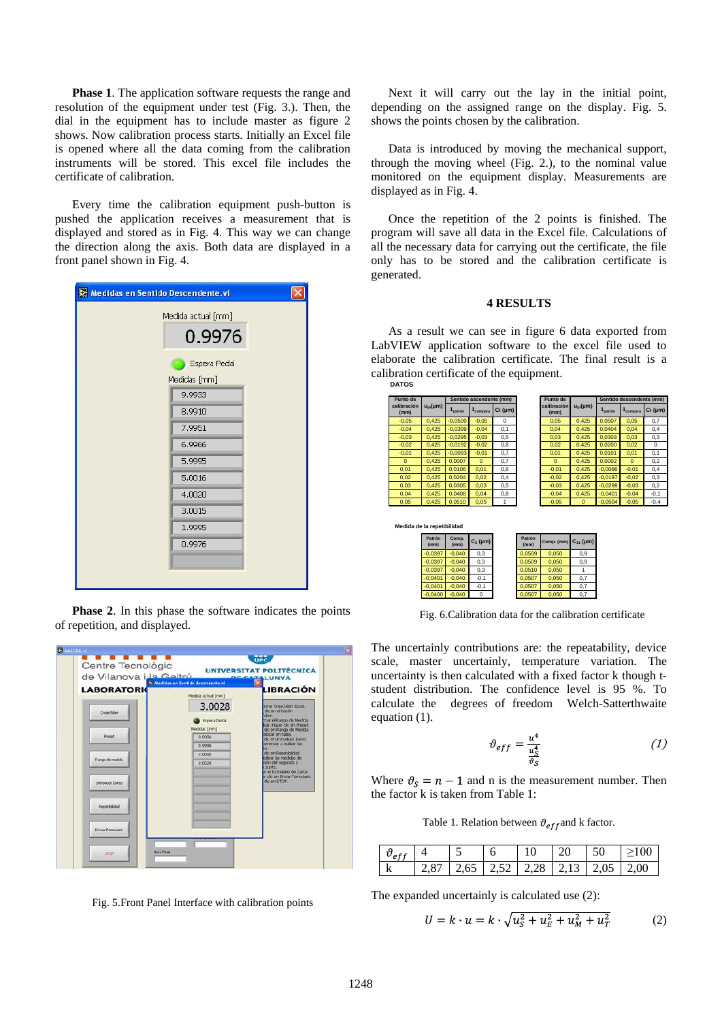**Phase 1**. The application software requests the range and resolution of the equipment under test (Fig. 3.). Then, the dial in the equipment has to include master as figure 2 shows. Now calibration process starts. Initially an Excel file is opened where all the data coming from the calibration instruments will be stored. This excel file includes the certificate of calibration.

Every time the calibration equipment push-button is pushed the application receives a measurement that is displayed and stored as in Fig. 4. This way we can change the direction along the axis. Both data are displayed in a front panel shown in Fig. 4.

| Medidas en Sentido Descendente.vi |  |
|-----------------------------------|--|
| Medida actual [mm]<br>0.9976      |  |
| Espera Pedal                      |  |
| Medidas [mm]                      |  |
| 9,9933                            |  |
| 8.9910                            |  |
| 7.9951                            |  |
| 6.9966                            |  |
| 5.9995                            |  |
| 5.0016                            |  |
| 4.0020                            |  |
| 3.0015                            |  |
| 1.9995                            |  |
| 0.9976                            |  |
|                                   |  |

**Phase 2.** In this phase the software indicates the points of repetition, and displayed.



Fig. 5.Front Panel Interface with calibration points

Next it will carry out the lay in the initial point, depending on the assigned range on the display. Fig. 5. shows the points chosen by the calibration.

Data is introduced by moving the mechanical support, through the moving wheel (Fig. 2.), to the nominal value monitored on the equipment display. Measurements are displayed as in Fig. 4.

Once the repetition of the 2 points is finished. The program will save all data in the Excel file. Calculations of all the necessary data for carrying out the certificate, the file only has to be stored and the calibration certificate is generated.

#### **4 RESULTS**

As a result we can see in figure 6 data exported from LabVIEW application software to the excel file used to elaborate the calibration certificate. The final result is a calibration certificate of the equipment.



Fig. 6.Calibration data for the calibration certificate

The uncertainly contributions are: the repeatability, device scale, master uncertainly, temperature variation. The uncertainty is then calculated with a fixed factor k though tstudent distribution. The confidence level is 95 %. To calculate the degrees of freedom Welch-Satterthwaite equation (1).

$$
\vartheta_{eff} = \frac{u^4}{\frac{u^4}{g_c}} \tag{1}
$$

Where  $\vartheta_s = n - 1$  and n is the measurement number. Then the factor k is taken from Table 1:

Table 1. Relation between  $\vartheta_{eff}$  and k factor.

|  |                                              |  | ንበ |  |
|--|----------------------------------------------|--|----|--|
|  | 87   2,65   2,52   2,28   2,13   2,05   2,00 |  |    |  |

The expanded uncertainly is calculated use (2):

$$
U = k \cdot u = k \cdot \sqrt{u_S^2 + u_E^2 + u_M^2 + u_T^2}
$$
 (2)